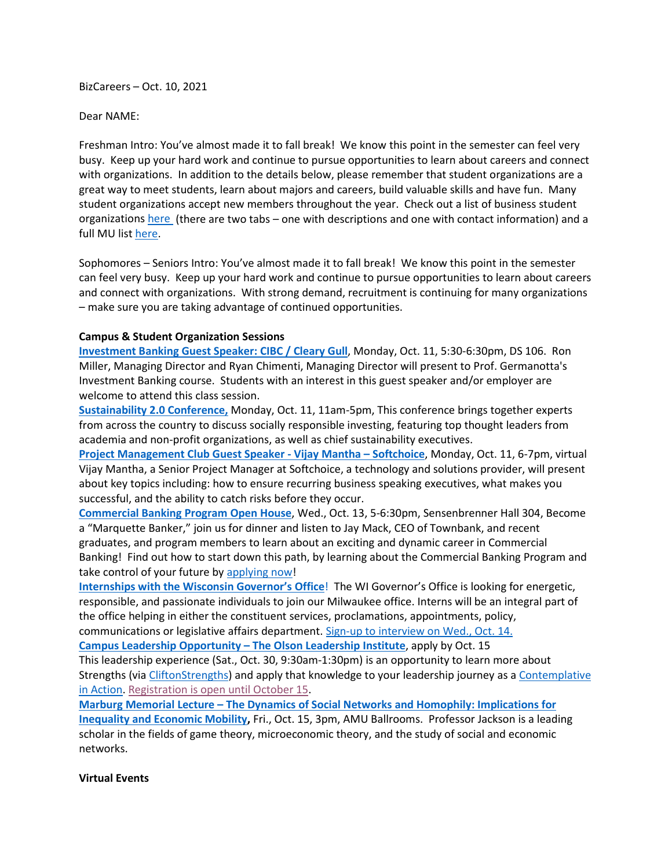BizCareers – Oct. 10, 2021

Dear NAME:

Freshman Intro: You've almost made it to fall break! We know this point in the semester can feel very busy. Keep up your hard work and continue to pursue opportunities to learn about careers and connect with organizations. In addition to the details below, please remember that student organizations are a great way to meet students, learn about majors and careers, build valuable skills and have fun. Many student organizations accept new members throughout the year. Check out a list of business student organizations [here](https://www.marquette.edu/business/undergraduate/student-organizations.php) (there are two tabs – one with descriptions and one with contact information) and a full MU list [here.](https://marquette.presence.io/organizations)

Sophomores – Seniors Intro: You've almost made it to fall break! We know this point in the semester can feel very busy. Keep up your hard work and continue to pursue opportunities to learn about careers and connect with organizations. With strong demand, recruitment is continuing for many organizations – make sure you are taking advantage of continued opportunities.

# **Campus & Student Organization Sessions**

**[Investment Banking Guest Speaker: CIBC / Cleary Gull](https://marquette.joinhandshake.com/events/816415/share_preview)**, Monday, Oct. 11, 5:30-6:30pm, DS 106. Ron Miller, Managing Director and Ryan Chimenti, Managing Director will present to Prof. Germanotta's Investment Banking course. Students with an interest in this guest speaker and/or employer are welcome to attend this class session.

**[Sustainability 2.0 Conference,](https://www.marquette.edu/business/companies/sustainability.php)** Monday, Oct. 11, 11am-5pm, This conference brings together experts from across the country to discuss socially responsible investing, featuring top thought leaders from academia and non-profit organizations, as well as chief sustainability executives.

**[Project Management Club Guest Speaker -](https://marquette.joinhandshake.com/events/870700) Vijay Mantha – Softchoice**, Monday, Oct. 11, 6-7pm, virtual Vijay Mantha, a Senior Project Manager at Softchoice, a technology and solutions provider, will present about key topics including: how to ensure recurring business speaking executives, what makes you successful, and the ability to catch risks before they occur.

**[Commercial Banking Program Open House](https://marquette.joinhandshake.com/events/862602/share_preview)**, Wed., Oct. 13, 5-6:30pm, Sensenbrenner Hall 304, Become a "Marquette Banker," join us for dinner and listen to Jay Mack, CEO of Townbank, and recent graduates, and program members to learn about an exciting and dynamic career in Commercial Banking! Find out how to start down this path, by learning about the Commercial Banking Program and take control of your future b[y applying now!](https://www.marquette.edu/business/banking/application.php)

**[Internships with the Wisconsin](https://marquette.joinhandshake.com/jobs/5409675) Governor's Office**! The WI Governor's Office is looking for energetic, responsible, and passionate individuals to join our Milwaukee office. Interns will be an integral part of the office helping in either the constituent services, proclamations, appointments, policy, communications or legislative affairs department. [Sign-up to interview](https://marquette.joinhandshake.com/jobs/5409675) on Wed., Oct. 14.

**[Campus Leadership Opportunity](https://marquette.az1.qualtrics.com/jfe/form/SV_bkNTJwktwsp3ZvE) – The Olson Leadership Institute**, apply by Oct. 15

This leadership experience (Sat., Oct. 30, 9:30am-1:30pm) is an opportunity to learn more about Strengths (via [CliftonStrengths\)](https://www.strengthsquest.com/home.aspx) and apply that knowledge to your leadership journey as a Contemplative [in Action.](https://www.marquette.edu/engagement-inclusion/leadership/documents/contemplatives-in-action-model.pdf) [Registration is open until October 15.](https://marquette.az1.qualtrics.com/jfe/form/SV_bkNTJwktwsp3ZvE)

**Marburg Memorial Lecture – [The Dynamics of Social Networks and Homophily: Implications for](https://www.marquette.edu/business/center-for-applied-economics/marburg-lecture.php)  [Inequality and Economic Mobility,](https://www.marquette.edu/business/center-for-applied-economics/marburg-lecture.php)** Fri., Oct. 15, 3pm, AMU Ballrooms. Professor Jackson is a leading scholar in the fields of game theory, microeconomic theory, and the study of social and economic networks.

### **Virtual Events**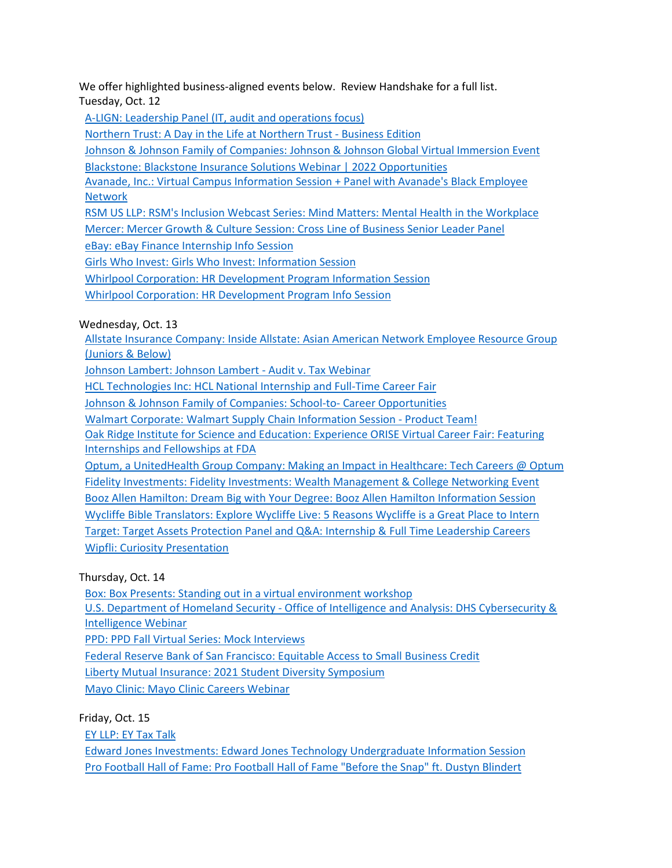We offer highlighted business-aligned events below. Review Handshake for a full list. Tuesday, Oct. 12

[A-LIGN: Leadership Panel \(IT, audit and operations focus\)](https://marquette.joinhandshake.com/events/867499/share_preview)

[Northern Trust: A Day in the Life at Northern Trust -](https://marquette.joinhandshake.com/events/862279/share_preview) Business Edition

[Johnson & Johnson Family of Companies: Johnson & Johnson Global Virtual Immersion Event](https://marquette.joinhandshake.com/events/862262/share_preview)

[Blackstone: Blackstone Insurance Solutions Webinar | 2022 Opportunities](https://marquette.joinhandshake.com/events/861679/share_preview) 

[Avanade, Inc.: Virtual Campus Information Session + Panel with Avanade's Black Employee](https://marquette.joinhandshake.com/events/856522/share_preview)  [Network](https://marquette.joinhandshake.com/events/856522/share_preview)

[RSM US LLP: RSM's Inclusion Webcast Series: Mind Matters: Mental Health in the Workplace](https://marquette.joinhandshake.com/events/849377/share_preview) [Mercer: Mercer Growth & Culture Session: Cross Line of Business Senior Leader Panel](https://marquette.joinhandshake.com/events/833580/share_preview)

[eBay: eBay Finance Internship Info Session](https://marquette.joinhandshake.com/events/832388/share_preview)

[Girls Who Invest: Girls Who Invest: Information Session](https://marquette.joinhandshake.com/events/831987/share_preview)

[Whirlpool Corporation: HR Development Program Information Session](https://marquette.joinhandshake.com/events/823491/share_preview)

[Whirlpool Corporation: HR Development Program Info Session](https://marquette.joinhandshake.com/events/823481/share_preview)

Wednesday, Oct. 13

[Allstate Insurance Company: Inside Allstate: Asian American Network Employee Resource Group](https://marquette.joinhandshake.com/events/866564/share_preview)  [\(Juniors & Below\)](https://marquette.joinhandshake.com/events/866564/share_preview)

[Johnson Lambert: Johnson Lambert -](https://marquette.joinhandshake.com/events/865779/share_preview) Audit v. Tax Webinar

[HCL Technologies Inc: HCL National Internship and Full-Time Career Fair](https://marquette.joinhandshake.com/events/864405/share_preview) 

[Johnson & Johnson Family of Companies: School-to-](https://marquette.joinhandshake.com/events/856601/share_preview) Career Opportunities

[Walmart Corporate: Walmart Supply Chain Information Session -](https://marquette.joinhandshake.com/events/855728/share_preview) Product Team!

[Oak Ridge Institute for Science and Education: Experience ORISE Virtual Career Fair: Featuring](https://marquette.joinhandshake.com/events/855472/share_preview)  [Internships and Fellowships at FDA](https://marquette.joinhandshake.com/events/855472/share_preview)

[Optum, a UnitedHealth Group Company: Making an Impact in Healthcare: Tech Careers @ Optum](https://marquette.joinhandshake.com/events/852946/share_preview) [Fidelity Investments: Fidelity Investments: Wealth Management & College Networking Event](https://marquette.joinhandshake.com/events/849384/share_preview)  [Booz Allen Hamilton: Dream Big with Your Degree: Booz Allen Hamilton Information Session](https://marquette.joinhandshake.com/events/843852/share_preview) [Wycliffe Bible Translators: Explore Wycliffe Live: 5 Reasons Wycliffe is a Great Place to Intern](https://marquette.joinhandshake.com/events/829760/share_preview) [Target: Target Assets Protection Panel and Q&A: Internship & Full Time Leadership Careers](https://marquette.joinhandshake.com/events/825303/share_preview) [Wipfli: Curiosity Presentation](https://marquette.joinhandshake.com/events/809232/share_preview) 

Thursday, Oct. 14

[Box: Box Presents: Standing out in a virtual environment workshop](https://marquette.joinhandshake.com/events/866220/share_preview) U.S. Department of Homeland Security - [Office of Intelligence and Analysis: DHS Cybersecurity &](https://marquette.joinhandshake.com/events/865825/share_preview) 

[Intelligence Webinar](https://marquette.joinhandshake.com/events/865825/share_preview) 

[PPD: PPD Fall Virtual Series: Mock Interviews](https://marquette.joinhandshake.com/events/835507/share_preview)

[Federal Reserve Bank of San Francisco: Equitable Access to Small Business Credit](https://marquette.joinhandshake.com/events/826250/share_preview)

[Liberty Mutual Insurance: 2021 Student Diversity Symposium](https://marquette.joinhandshake.com/events/815159/share_preview)

[Mayo Clinic: Mayo Clinic Careers Webinar](https://marquette.joinhandshake.com/events/688768/share_preview)

Friday, Oct. 15

[EY LLP: EY Tax Talk](https://marquette.joinhandshake.com/events/864782/share_preview)

[Edward Jones Investments: Edward Jones Technology Undergraduate Information Session](https://marquette.joinhandshake.com/events/863394/share_preview) [Pro Football Hall of Fame: Pro Football Hall of Fame "Before the Snap" ft. Dustyn Blindert](https://marquette.joinhandshake.com/events/856791/share_preview)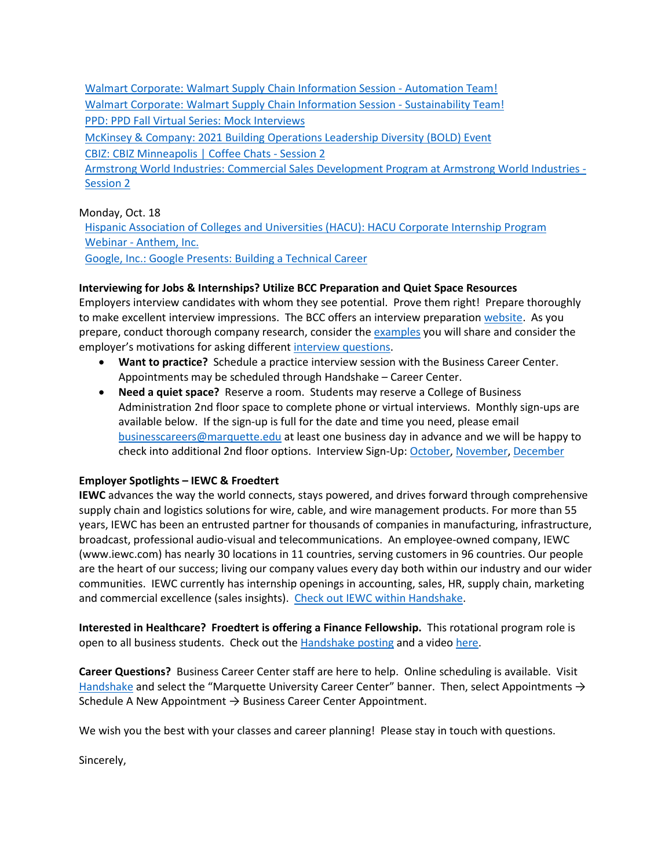[Walmart Corporate: Walmart Supply Chain Information Session -](https://marquette.joinhandshake.com/events/855742/share_preview) Automation Team! [Walmart Corporate: Walmart Supply Chain Information Session -](https://marquette.joinhandshake.com/events/855733/share_preview) Sustainability Team! [PPD: PPD Fall Virtual Series: Mock Interviews](https://marquette.joinhandshake.com/events/835512/share_preview) [McKinsey & Company: 2021 Building Operations Leadership Diversity \(BOLD\) Event](https://marquette.joinhandshake.com/events/835017/share_preview) [CBIZ: CBIZ Minneapolis | Coffee Chats -](https://marquette.joinhandshake.com/events/823227/share_preview) Session 2 [Armstrong World Industries: Commercial Sales Development Program at Armstrong World Industries -](https://marquette.joinhandshake.com/events/822247/share_preview) [Session 2](https://marquette.joinhandshake.com/events/822247/share_preview)

## Monday, Oct. 18

[Hispanic Association of Colleges and Universities \(HACU\): HACU Corporate Internship Program](https://marquette.joinhandshake.com/events/869374/share_preview)  Webinar - [Anthem, Inc.](https://marquette.joinhandshake.com/events/869374/share_preview) [Google, Inc.: Google Presents: Building a Technical Career](https://marquette.joinhandshake.com/events/860671/share_preview)

## **Interviewing for Jobs & Internships? Utilize BCC Preparation and Quiet Space Resources**

Employers interview candidates with whom they see potential. Prove them right! Prepare thoroughly to make excellent interview impressions. The BCC offers an interview preparation [website.](https://www.marquette.edu/business/career-center/undergrad/interviews.php) As you prepare, conduct thorough company research, consider the [examples](https://www.marquette.edu/business/career-center/documents/Interview_Preparation_Skills_and_STAR.pdf) you will share and consider the employer's motivations for asking differen[t interview questions.](https://www.marquette.edu/business/career-center/documents/Interview_Preparation_and_Questions.pdf)

- **Want to practice?** Schedule a practice interview session with the Business Career Center. Appointments may be scheduled through Handshake – Career Center.
- **Need a quiet space?** Reserve a room. Students may reserve a College of Business Administration 2nd floor space to complete phone or virtual interviews. Monthly sign-ups are available below. If the sign-up is full for the date and time you need, please email [businesscareers@marquette.edu](mailto:businesscareers@marquette.edu) at least one business day in advance and we will be happy to check into additional 2nd floor options. Interview Sign-Up[: October,](https://www.signupgenius.com/go/10c044fada92ba5f85-room1) [November,](https://www.signupgenius.com/go/10C044FADA92BA5F85-room2) [December](https://www.signupgenius.com/go/10C044FADA92BA5F85-december)

# **Employer Spotlights – IEWC & Froedtert**

**IEWC** advances the way the world connects, stays powered, and drives forward through comprehensive supply chain and logistics solutions for wire, cable, and wire management products. For more than 55 years, IEWC has been an entrusted partner for thousands of companies in manufacturing, infrastructure, broadcast, professional audio-visual and telecommunications. An employee-owned company, IEWC (www.iewc.com) has nearly 30 locations in 11 countries, serving customers in 96 countries. Our people are the heart of our success; living our company values every day both within our industry and our wider communities. IEWC currently has internship openings in accounting, sales, HR, supply chain, marketing and commercial excellence (sales insights). [Check out IEWC within](https://marquette.joinhandshake.com/employers/210936) Handshake.

**Interested in Healthcare? Froedtert is offering a Finance Fellowship.** This rotational program role is open to all business students. Check out the [Handshake posting](https://marquette.joinhandshake.com/jobs/4165789) and a video [here.](https://youtu.be/4VvgyJCdFUU)

**Career Questions?** Business Career Center staff are here to help. Online scheduling is available. Visit [Handshake](https://marquette.joinhandshake.com/) and select the "Marquette University Career Center" banner. Then, select Appointments  $\rightarrow$ Schedule A New Appointment  $\rightarrow$  Business Career Center Appointment.

We wish you the best with your classes and career planning! Please stay in touch with questions.

Sincerely,